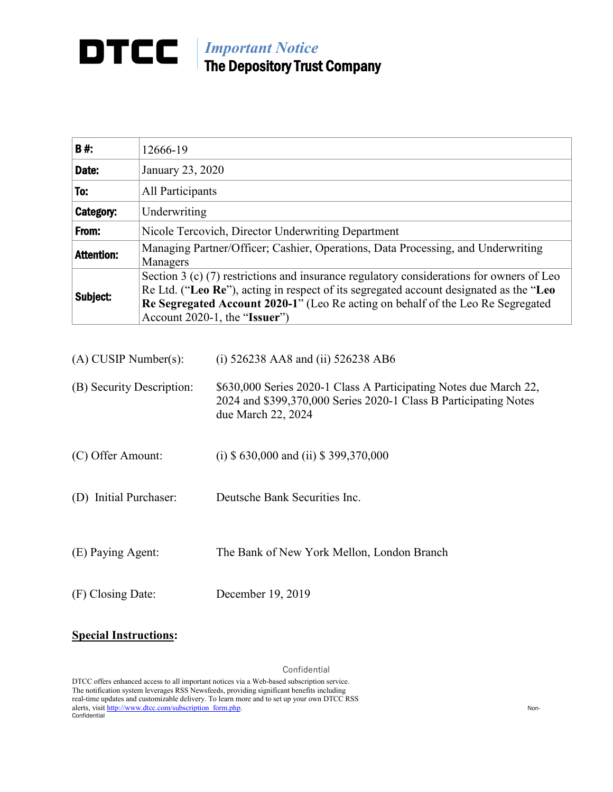## *Important Notice* The Depository Trust Company

| <b>B#:</b>        | 12666-19                                                                                                                                                                                                                                                                                                 |
|-------------------|----------------------------------------------------------------------------------------------------------------------------------------------------------------------------------------------------------------------------------------------------------------------------------------------------------|
| Date:             | January 23, 2020                                                                                                                                                                                                                                                                                         |
| To:               | All Participants                                                                                                                                                                                                                                                                                         |
| Category:         | Underwriting                                                                                                                                                                                                                                                                                             |
| From:             | Nicole Tercovich, Director Underwriting Department                                                                                                                                                                                                                                                       |
| <b>Attention:</b> | Managing Partner/Officer; Cashier, Operations, Data Processing, and Underwriting<br>Managers                                                                                                                                                                                                             |
| Subject:          | Section 3 (c) $(7)$ restrictions and insurance regulatory considerations for owners of Leo<br>Re Ltd. ("Leo Re"), acting in respect of its segregated account designated as the "Leo<br>Re Segregated Account 2020-1" (Leo Re acting on behalf of the Leo Re Segregated<br>Account 2020-1, the "Issuer") |

| $(A)$ CUSIP Number(s):    | (i) $526238$ AA8 and (ii) $526238$ AB6                                                                                                                      |
|---------------------------|-------------------------------------------------------------------------------------------------------------------------------------------------------------|
| (B) Security Description: | \$630,000 Series 2020-1 Class A Participating Notes due March 22,<br>2024 and \$399,370,000 Series 2020-1 Class B Participating Notes<br>due March 22, 2024 |
| (C) Offer Amount:         | (i) $$630,000$ and (ii) $$399,370,000$                                                                                                                      |
| (D) Initial Purchaser:    | Deutsche Bank Securities Inc.                                                                                                                               |
| (E) Paying Agent:         | The Bank of New York Mellon, London Branch                                                                                                                  |
| (F) Closing Date:         | December 19, 2019                                                                                                                                           |

## **Special Instructions:**

Confidential

DTCC offers enhanced access to all important notices via a Web-based subscription service. The notification system leverages RSS Newsfeeds, providing significant benefits including real-time updates and customizable delivery. To learn more and to set up your own DTCC RSS alerts, visit [http://www.dtcc.com/subscription\\_form.php.](http://www.dtcc.com/subscription_form.php) Non-Confidential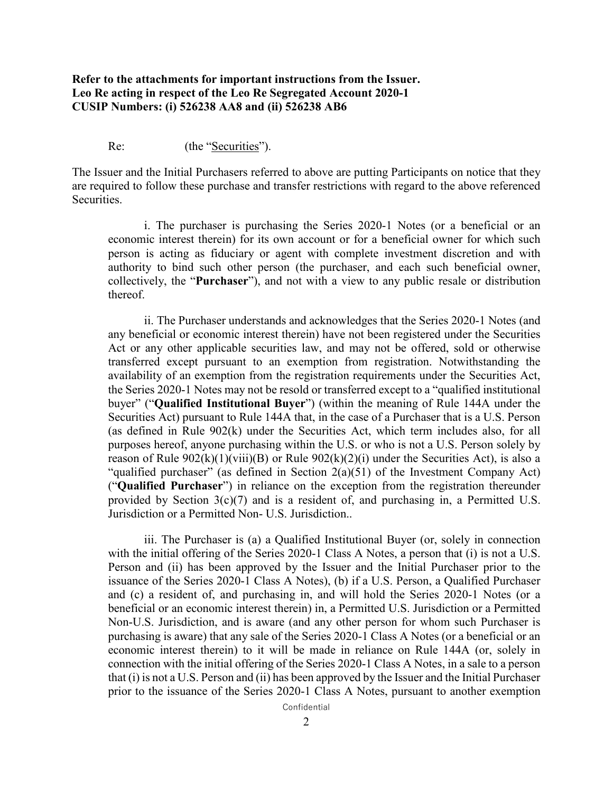## **Refer to the attachments for important instructions from the Issuer. Leo Re acting in respect of the Leo Re Segregated Account 2020-1 CUSIP Numbers: (i) 526238 AA8 and (ii) 526238 AB6**

Re: (the "Securities").

The Issuer and the Initial Purchasers referred to above are putting Participants on notice that they are required to follow these purchase and transfer restrictions with regard to the above referenced Securities.

i. The purchaser is purchasing the Series 2020-1 Notes (or a beneficial or an economic interest therein) for its own account or for a beneficial owner for which such person is acting as fiduciary or agent with complete investment discretion and with authority to bind such other person (the purchaser, and each such beneficial owner, collectively, the "**Purchaser**"), and not with a view to any public resale or distribution thereof.

ii. The Purchaser understands and acknowledges that the Series 2020-1 Notes (and any beneficial or economic interest therein) have not been registered under the Securities Act or any other applicable securities law, and may not be offered, sold or otherwise transferred except pursuant to an exemption from registration. Notwithstanding the availability of an exemption from the registration requirements under the Securities Act, the Series 2020-1 Notes may not be resold or transferred except to a "qualified institutional buyer" ("**Qualified Institutional Buyer**") (within the meaning of Rule 144A under the Securities Act) pursuant to Rule 144A that, in the case of a Purchaser that is a U.S. Person (as defined in Rule 902(k) under the Securities Act, which term includes also, for all purposes hereof, anyone purchasing within the U.S. or who is not a U.S. Person solely by reason of Rule  $902(k)(1)(viii)(B)$  or Rule  $902(k)(2)(i)$  under the Securities Act), is also a "qualified purchaser" (as defined in Section  $2(a)(51)$  of the Investment Company Act) ("**Qualified Purchaser**") in reliance on the exception from the registration thereunder provided by Section 3(c)(7) and is a resident of, and purchasing in, a Permitted U.S. Jurisdiction or a Permitted Non- U.S. Jurisdiction..

iii. The Purchaser is (a) a Qualified Institutional Buyer (or, solely in connection with the initial offering of the Series 2020-1 Class A Notes, a person that (i) is not a U.S. Person and (ii) has been approved by the Issuer and the Initial Purchaser prior to the issuance of the Series 2020-1 Class A Notes), (b) if a U.S. Person, a Qualified Purchaser and (c) a resident of, and purchasing in, and will hold the Series 2020-1 Notes (or a beneficial or an economic interest therein) in, a Permitted U.S. Jurisdiction or a Permitted Non-U.S. Jurisdiction, and is aware (and any other person for whom such Purchaser is purchasing is aware) that any sale of the Series 2020-1 Class A Notes (or a beneficial or an economic interest therein) to it will be made in reliance on Rule 144A (or, solely in connection with the initial offering of the Series 2020-1 Class A Notes, in a sale to a person that (i) is not a U.S. Person and (ii) has been approved by the Issuer and the Initial Purchaser prior to the issuance of the Series 2020-1 Class A Notes, pursuant to another exemption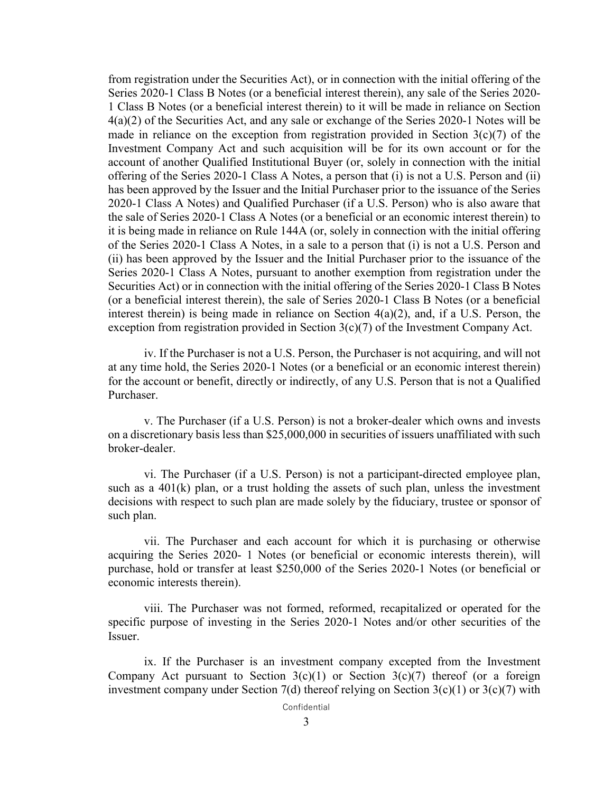from registration under the Securities Act), or in connection with the initial offering of the Series 2020-1 Class B Notes (or a beneficial interest therein), any sale of the Series 2020- 1 Class B Notes (or a beneficial interest therein) to it will be made in reliance on Section 4(a)(2) of the Securities Act, and any sale or exchange of the Series 2020-1 Notes will be made in reliance on the exception from registration provided in Section  $3(c)(7)$  of the Investment Company Act and such acquisition will be for its own account or for the account of another Qualified Institutional Buyer (or, solely in connection with the initial offering of the Series 2020-1 Class A Notes, a person that (i) is not a U.S. Person and (ii) has been approved by the Issuer and the Initial Purchaser prior to the issuance of the Series 2020-1 Class A Notes) and Qualified Purchaser (if a U.S. Person) who is also aware that the sale of Series 2020-1 Class A Notes (or a beneficial or an economic interest therein) to it is being made in reliance on Rule 144A (or, solely in connection with the initial offering of the Series 2020-1 Class A Notes, in a sale to a person that (i) is not a U.S. Person and (ii) has been approved by the Issuer and the Initial Purchaser prior to the issuance of the Series 2020-1 Class A Notes, pursuant to another exemption from registration under the Securities Act) or in connection with the initial offering of the Series 2020-1 Class B Notes (or a beneficial interest therein), the sale of Series 2020-1 Class B Notes (or a beneficial interest therein) is being made in reliance on Section 4(a)(2), and, if a U.S. Person, the exception from registration provided in Section 3(c)(7) of the Investment Company Act.

iv. If the Purchaser is not a U.S. Person, the Purchaser is not acquiring, and will not at any time hold, the Series 2020-1 Notes (or a beneficial or an economic interest therein) for the account or benefit, directly or indirectly, of any U.S. Person that is not a Qualified Purchaser.

v. The Purchaser (if a U.S. Person) is not a broker-dealer which owns and invests on a discretionary basis less than \$25,000,000 in securities of issuers unaffiliated with such broker-dealer.

vi. The Purchaser (if a U.S. Person) is not a participant-directed employee plan, such as a 401(k) plan, or a trust holding the assets of such plan, unless the investment decisions with respect to such plan are made solely by the fiduciary, trustee or sponsor of such plan.

vii. The Purchaser and each account for which it is purchasing or otherwise acquiring the Series 2020- 1 Notes (or beneficial or economic interests therein), will purchase, hold or transfer at least \$250,000 of the Series 2020-1 Notes (or beneficial or economic interests therein).

viii. The Purchaser was not formed, reformed, recapitalized or operated for the specific purpose of investing in the Series 2020-1 Notes and/or other securities of the Issuer.

ix. If the Purchaser is an investment company excepted from the Investment Company Act pursuant to Section  $3(c)(1)$  or Section  $3(c)(7)$  thereof (or a foreign investment company under Section 7(d) thereof relying on Section  $3(c)(1)$  or  $3(c)(7)$  with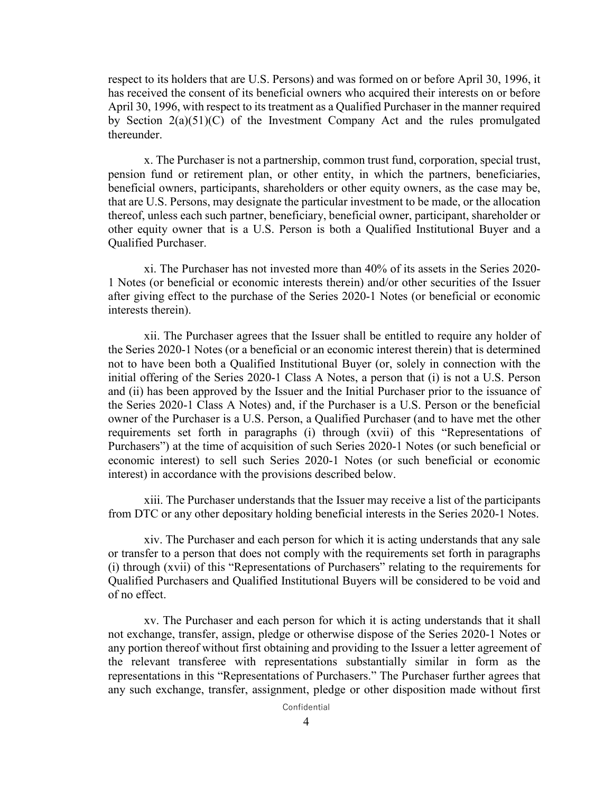respect to its holders that are U.S. Persons) and was formed on or before April 30, 1996, it has received the consent of its beneficial owners who acquired their interests on or before April 30, 1996, with respect to its treatment as a Qualified Purchaser in the manner required by Section 2(a)(51)(C) of the Investment Company Act and the rules promulgated thereunder.

x. The Purchaser is not a partnership, common trust fund, corporation, special trust, pension fund or retirement plan, or other entity, in which the partners, beneficiaries, beneficial owners, participants, shareholders or other equity owners, as the case may be, that are U.S. Persons, may designate the particular investment to be made, or the allocation thereof, unless each such partner, beneficiary, beneficial owner, participant, shareholder or other equity owner that is a U.S. Person is both a Qualified Institutional Buyer and a Qualified Purchaser.

xi. The Purchaser has not invested more than 40% of its assets in the Series 2020- 1 Notes (or beneficial or economic interests therein) and/or other securities of the Issuer after giving effect to the purchase of the Series 2020-1 Notes (or beneficial or economic interests therein).

xii. The Purchaser agrees that the Issuer shall be entitled to require any holder of the Series 2020-1 Notes (or a beneficial or an economic interest therein) that is determined not to have been both a Qualified Institutional Buyer (or, solely in connection with the initial offering of the Series 2020-1 Class A Notes, a person that (i) is not a U.S. Person and (ii) has been approved by the Issuer and the Initial Purchaser prior to the issuance of the Series 2020-1 Class A Notes) and, if the Purchaser is a U.S. Person or the beneficial owner of the Purchaser is a U.S. Person, a Qualified Purchaser (and to have met the other requirements set forth in paragraphs (i) through (xvii) of this "Representations of Purchasers") at the time of acquisition of such Series 2020-1 Notes (or such beneficial or economic interest) to sell such Series 2020-1 Notes (or such beneficial or economic interest) in accordance with the provisions described below.

xiii. The Purchaser understands that the Issuer may receive a list of the participants from DTC or any other depositary holding beneficial interests in the Series 2020-1 Notes.

xiv. The Purchaser and each person for which it is acting understands that any sale or transfer to a person that does not comply with the requirements set forth in paragraphs (i) through (xvii) of this "Representations of Purchasers" relating to the requirements for Qualified Purchasers and Qualified Institutional Buyers will be considered to be void and of no effect.

xv. The Purchaser and each person for which it is acting understands that it shall not exchange, transfer, assign, pledge or otherwise dispose of the Series 2020-1 Notes or any portion thereof without first obtaining and providing to the Issuer a letter agreement of the relevant transferee with representations substantially similar in form as the representations in this "Representations of Purchasers." The Purchaser further agrees that any such exchange, transfer, assignment, pledge or other disposition made without first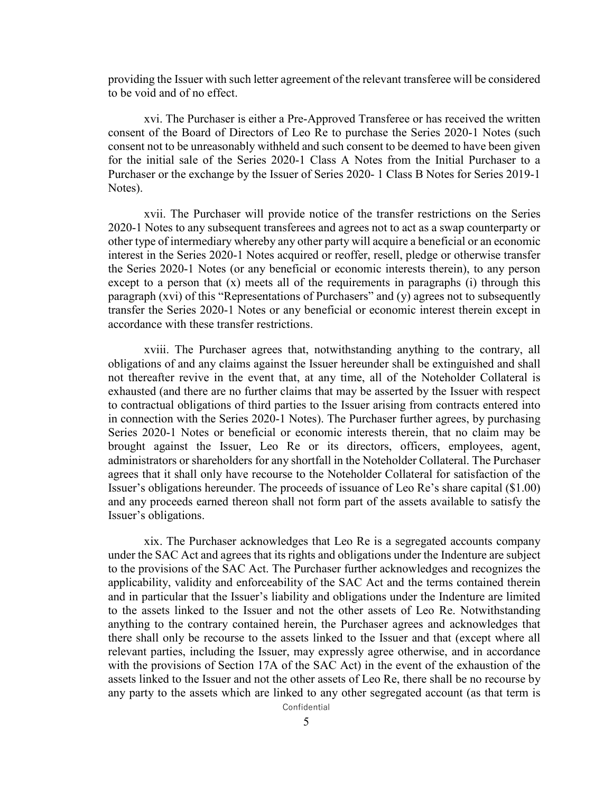providing the Issuer with such letter agreement of the relevant transferee will be considered to be void and of no effect.

xvi. The Purchaser is either a Pre-Approved Transferee or has received the written consent of the Board of Directors of Leo Re to purchase the Series 2020-1 Notes (such consent not to be unreasonably withheld and such consent to be deemed to have been given for the initial sale of the Series 2020-1 Class A Notes from the Initial Purchaser to a Purchaser or the exchange by the Issuer of Series 2020- 1 Class B Notes for Series 2019-1 Notes).

xvii. The Purchaser will provide notice of the transfer restrictions on the Series 2020-1 Notes to any subsequent transferees and agrees not to act as a swap counterparty or other type of intermediary whereby any other party will acquire a beneficial or an economic interest in the Series 2020-1 Notes acquired or reoffer, resell, pledge or otherwise transfer the Series 2020-1 Notes (or any beneficial or economic interests therein), to any person except to a person that (x) meets all of the requirements in paragraphs (i) through this paragraph (xvi) of this "Representations of Purchasers" and (y) agrees not to subsequently transfer the Series 2020-1 Notes or any beneficial or economic interest therein except in accordance with these transfer restrictions.

xviii. The Purchaser agrees that, notwithstanding anything to the contrary, all obligations of and any claims against the Issuer hereunder shall be extinguished and shall not thereafter revive in the event that, at any time, all of the Noteholder Collateral is exhausted (and there are no further claims that may be asserted by the Issuer with respect to contractual obligations of third parties to the Issuer arising from contracts entered into in connection with the Series 2020-1 Notes). The Purchaser further agrees, by purchasing Series 2020-1 Notes or beneficial or economic interests therein, that no claim may be brought against the Issuer, Leo Re or its directors, officers, employees, agent, administrators or shareholders for any shortfall in the Noteholder Collateral. The Purchaser agrees that it shall only have recourse to the Noteholder Collateral for satisfaction of the Issuer's obligations hereunder. The proceeds of issuance of Leo Re's share capital (\$1.00) and any proceeds earned thereon shall not form part of the assets available to satisfy the Issuer's obligations.

xix. The Purchaser acknowledges that Leo Re is a segregated accounts company under the SAC Act and agrees that its rights and obligations under the Indenture are subject to the provisions of the SAC Act. The Purchaser further acknowledges and recognizes the applicability, validity and enforceability of the SAC Act and the terms contained therein and in particular that the Issuer's liability and obligations under the Indenture are limited to the assets linked to the Issuer and not the other assets of Leo Re. Notwithstanding anything to the contrary contained herein, the Purchaser agrees and acknowledges that there shall only be recourse to the assets linked to the Issuer and that (except where all relevant parties, including the Issuer, may expressly agree otherwise, and in accordance with the provisions of Section 17A of the SAC Act) in the event of the exhaustion of the assets linked to the Issuer and not the other assets of Leo Re, there shall be no recourse by any party to the assets which are linked to any other segregated account (as that term is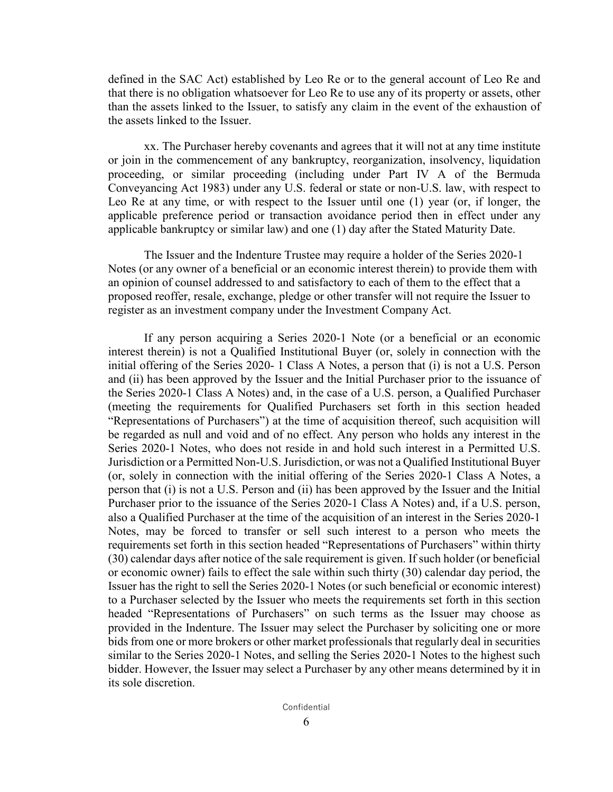defined in the SAC Act) established by Leo Re or to the general account of Leo Re and that there is no obligation whatsoever for Leo Re to use any of its property or assets, other than the assets linked to the Issuer, to satisfy any claim in the event of the exhaustion of the assets linked to the Issuer.

xx. The Purchaser hereby covenants and agrees that it will not at any time institute or join in the commencement of any bankruptcy, reorganization, insolvency, liquidation proceeding, or similar proceeding (including under Part IV A of the Bermuda Conveyancing Act 1983) under any U.S. federal or state or non-U.S. law, with respect to Leo Re at any time, or with respect to the Issuer until one (1) year (or, if longer, the applicable preference period or transaction avoidance period then in effect under any applicable bankruptcy or similar law) and one (1) day after the Stated Maturity Date.

The Issuer and the Indenture Trustee may require a holder of the Series 2020-1 Notes (or any owner of a beneficial or an economic interest therein) to provide them with an opinion of counsel addressed to and satisfactory to each of them to the effect that a proposed reoffer, resale, exchange, pledge or other transfer will not require the Issuer to register as an investment company under the Investment Company Act.

If any person acquiring a Series 2020-1 Note (or a beneficial or an economic interest therein) is not a Qualified Institutional Buyer (or, solely in connection with the initial offering of the Series 2020- 1 Class A Notes, a person that (i) is not a U.S. Person and (ii) has been approved by the Issuer and the Initial Purchaser prior to the issuance of the Series 2020-1 Class A Notes) and, in the case of a U.S. person, a Qualified Purchaser (meeting the requirements for Qualified Purchasers set forth in this section headed "Representations of Purchasers") at the time of acquisition thereof, such acquisition will be regarded as null and void and of no effect. Any person who holds any interest in the Series 2020-1 Notes, who does not reside in and hold such interest in a Permitted U.S. Jurisdiction or a Permitted Non-U.S. Jurisdiction, or was not a Qualified Institutional Buyer (or, solely in connection with the initial offering of the Series 2020-1 Class A Notes, a person that (i) is not a U.S. Person and (ii) has been approved by the Issuer and the Initial Purchaser prior to the issuance of the Series 2020-1 Class A Notes) and, if a U.S. person, also a Qualified Purchaser at the time of the acquisition of an interest in the Series 2020-1 Notes, may be forced to transfer or sell such interest to a person who meets the requirements set forth in this section headed "Representations of Purchasers" within thirty (30) calendar days after notice of the sale requirement is given. If such holder (or beneficial or economic owner) fails to effect the sale within such thirty (30) calendar day period, the Issuer has the right to sell the Series 2020-1 Notes (or such beneficial or economic interest) to a Purchaser selected by the Issuer who meets the requirements set forth in this section headed "Representations of Purchasers" on such terms as the Issuer may choose as provided in the Indenture. The Issuer may select the Purchaser by soliciting one or more bids from one or more brokers or other market professionals that regularly deal in securities similar to the Series 2020-1 Notes, and selling the Series 2020-1 Notes to the highest such bidder. However, the Issuer may select a Purchaser by any other means determined by it in its sole discretion.